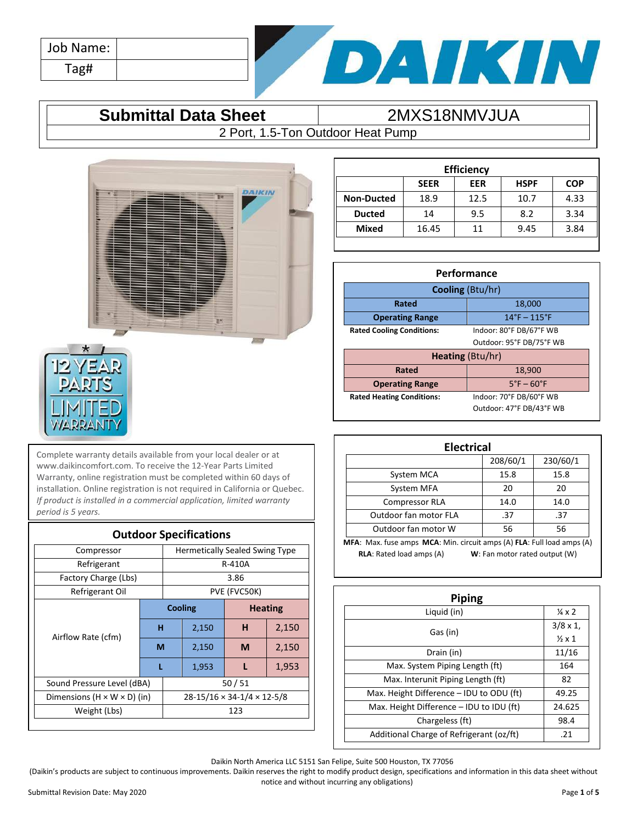| Job Name: |  |
|-----------|--|
| Tag#      |  |



### **Submittal Data Sheet** | 2MXS18NMVJUA

2 Port, 1.5-Ton Outdoor Heat Pump



| <b>ZEA</b><br>\R) |
|-------------------|
| PA<br>(PJ         |
|                   |
| IMITED            |
|                   |

Complete warranty details available from your local dealer or at www.daikincomfort.com. To receive the 12-Year Parts Limited Warranty, online registration must be completed within 60 days of installation. Online registration is not required in California or Quebec. *If product is installed in a commercial application, limited warranty period is 5 years.*

| <b>Outdoor Specifications</b>           |                                        |         |        |                                       |       |
|-----------------------------------------|----------------------------------------|---------|--------|---------------------------------------|-------|
| Compressor                              |                                        |         |        | <b>Hermetically Sealed Swing Type</b> |       |
| Refrigerant                             |                                        |         | R-410A |                                       |       |
| Factory Charge (Lbs)                    |                                        |         |        | 3.86                                  |       |
| Refrigerant Oil                         |                                        |         |        | PVE (FVC50K)                          |       |
| Airflow Rate (cfm)                      |                                        | Cooling |        | <b>Heating</b>                        |       |
|                                         | н                                      |         | 2,150  | н                                     | 2,150 |
|                                         | М                                      |         | 2,150  | M                                     | 2,150 |
|                                         | L                                      |         | 1,953  |                                       | 1,953 |
| Sound Pressure Level (dBA)              | 50/51                                  |         |        |                                       |       |
| Dimensions $(H \times W \times D)$ (in) | $28-15/16 \times 34-1/4 \times 12-5/8$ |         |        |                                       |       |
| Weight (Lbs)                            | 123                                    |         |        |                                       |       |
|                                         |                                        |         |        |                                       |       |

| <b>Efficiency</b> |             |            |             |            |  |
|-------------------|-------------|------------|-------------|------------|--|
|                   | <b>SEER</b> | <b>EER</b> | <b>HSPF</b> | <b>COP</b> |  |
| <b>Non-Ducted</b> | 18.9        | 12.5       | 10.7        | 4.33       |  |
| <b>Ducted</b>     | 14          | 9.5        | 8.2         | 3.34       |  |
| <b>Mixed</b>      | 16.45       | 11         | 9.45        | 3.84       |  |
|                   |             |            |             |            |  |

| Performance                      |                                  |  |  |
|----------------------------------|----------------------------------|--|--|
| Cooling (Btu/hr)                 |                                  |  |  |
| 18,000<br>Rated                  |                                  |  |  |
| <b>Operating Range</b>           | $14^{\circ}$ F – $115^{\circ}$ F |  |  |
| <b>Rated Cooling Conditions:</b> | Indoor: 80°F DB/67°F WB          |  |  |
|                                  | Outdoor: 95°F DB/75°F WB         |  |  |
| <b>Heating (Btu/hr)</b>          |                                  |  |  |
| Rated<br>18,900                  |                                  |  |  |
| <b>Operating Range</b>           | $5^\circ$ F – 60 $^\circ$ F      |  |  |
| <b>Rated Heating Conditions:</b> | Indoor: 70°F DB/60°F WB          |  |  |
|                                  | Outdoor: 47°F DB/43°F WB         |  |  |

| <b>Electrical</b>                                                      |          |          |  |  |
|------------------------------------------------------------------------|----------|----------|--|--|
|                                                                        | 208/60/1 | 230/60/1 |  |  |
| System MCA                                                             | 15.8     | 15.8     |  |  |
| System MFA                                                             | 20       | 20       |  |  |
| <b>Compressor RLA</b>                                                  | 14.0     | 14.0     |  |  |
| Outdoor fan motor FLA                                                  | .37      | .37      |  |  |
| Outdoor fan motor W                                                    | 56       | 56       |  |  |
| MFA: Max. fuse amps MCA: Min. circuit amps (A) FLA: Full load amps (A) |          |          |  |  |
| <b>RLA:</b> Rated load amps (A)<br>W: Fan motor rated output (W)       |          |          |  |  |

| <b>Piping</b>                            |                        |  |  |  |
|------------------------------------------|------------------------|--|--|--|
| Liquid (in)                              | $\frac{1}{4} \times 2$ |  |  |  |
|                                          | $3/8 \times 1$ ,       |  |  |  |
| Gas (in)                                 | $\frac{1}{2}$ x 1      |  |  |  |
| Drain (in)                               | 11/16                  |  |  |  |
| Max. System Piping Length (ft)           | 164                    |  |  |  |
| Max. Interunit Piping Length (ft)        | 82                     |  |  |  |
| Max. Height Difference - IDU to ODU (ft) | 49.25                  |  |  |  |
| Max. Height Difference - IDU to IDU (ft) | 24.625                 |  |  |  |
| Chargeless (ft)                          | 98.4                   |  |  |  |
| Additional Charge of Refrigerant (oz/ft) | .21                    |  |  |  |

Daikin North America LLC 5151 San Felipe, Suite 500 Houston, TX 77056

(Daikin's products are subject to continuous improvements. Daikin reserves the right to modify product design, specifications and information in this data sheet without notice and without incurring any obligations)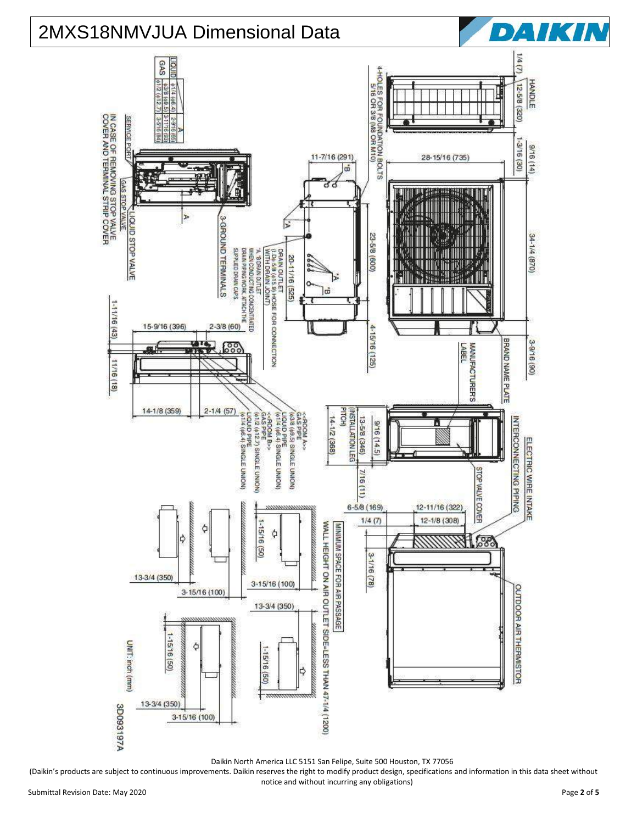

(Daikin's products are subject to continuous improvements. Daikin reserves the right to modify product design, specifications and information in this data sheet without notice and without incurring any obligations)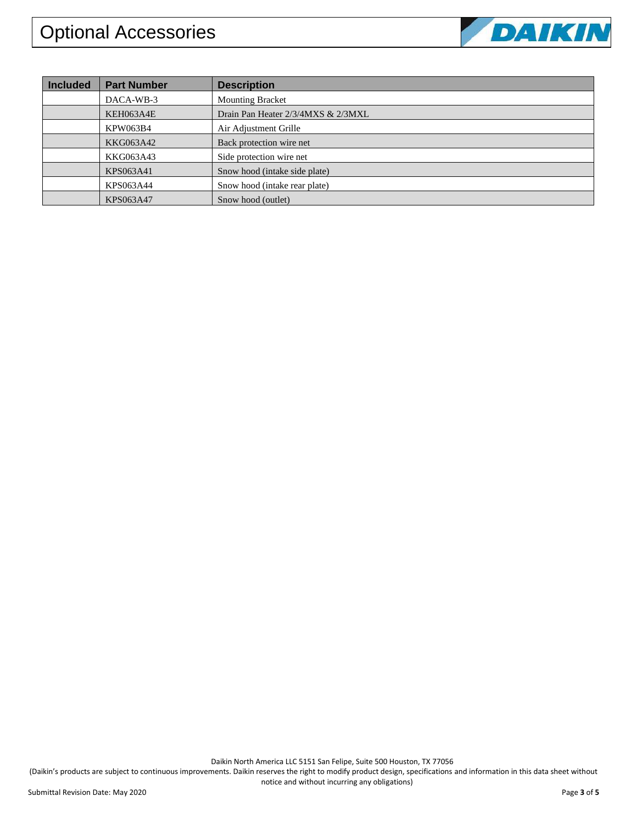

| <b>Included</b> | <b>Part Number</b> | <b>Description</b>                 |
|-----------------|--------------------|------------------------------------|
|                 | DACA-WB-3          | <b>Mounting Bracket</b>            |
|                 | KEH063A4E          | Drain Pan Heater 2/3/4MXS & 2/3MXL |
|                 | KPW063B4           | Air Adjustment Grille              |
|                 | KKG063A42          | Back protection wire net           |
|                 | KKG063A43          | Side protection wire net           |
|                 | KPS063A41          | Snow hood (intake side plate)      |
|                 | KPS063A44          | Snow hood (intake rear plate)      |
|                 | KPS063A47          | Snow hood (outlet)                 |

Daikin North America LLC 5151 San Felipe, Suite 500 Houston, TX 77056 notice and without incurring any obligations)

(Daikin's products are subject to continuous improvements. Daikin reserves the right to modify product design, specifications and information in this data sheet without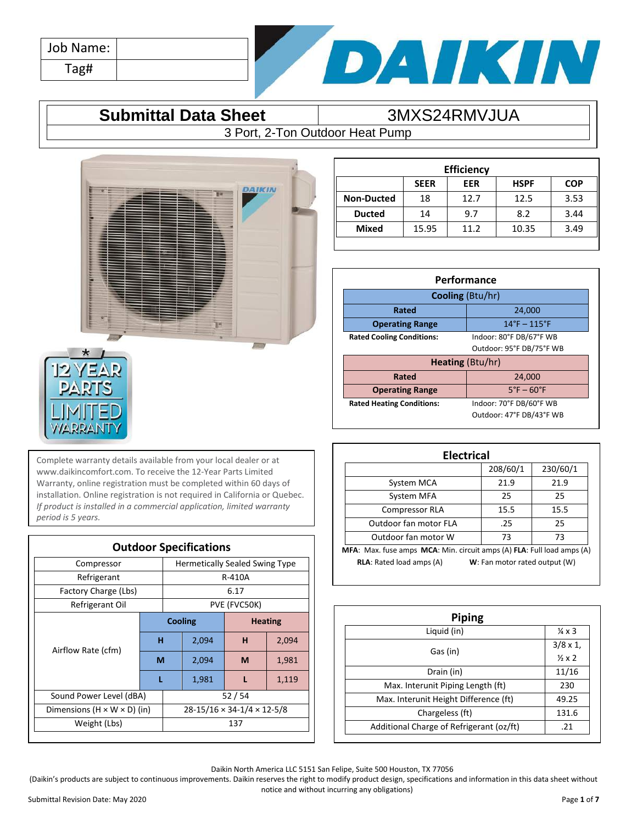| Job Name: |  |
|-----------|--|
| Tag#      |  |



### **Submittal Data Sheet** 3MXS24RMVJUA

3 Port, 2-Ton Outdoor Heat Pump



Complete warranty details available from your local dealer or at www.daikincomfort.com. To receive the 12-Year Parts Limited Warranty, online registration must be completed within 60 days of installation. Online registration is not required in California or Quebec. *If product is installed in a commercial application, limited warranty period is 5 years.*

| <b>Outdoor Specifications</b>           |                                        |                |       |                                       |       |
|-----------------------------------------|----------------------------------------|----------------|-------|---------------------------------------|-------|
| Compressor                              |                                        |                |       | <b>Hermetically Sealed Swing Type</b> |       |
| Refrigerant                             |                                        |                |       | R-410A                                |       |
| Factory Charge (Lbs)                    |                                        |                |       | 6.17                                  |       |
| Refrigerant Oil                         |                                        |                |       | PVE (FVC50K)                          |       |
|                                         |                                        | <b>Cooling</b> |       | <b>Heating</b>                        |       |
|                                         | н                                      |                | 2,094 | н                                     | 2,094 |
| Airflow Rate (cfm)                      | M                                      |                | 2,094 | M                                     | 1,981 |
|                                         |                                        |                | 1,981 |                                       | 1,119 |
| Sound Power Level (dBA)                 | 52/54                                  |                |       |                                       |       |
| Dimensions $(H \times W \times D)$ (in) | $28-15/16 \times 34-1/4 \times 12-5/8$ |                |       |                                       |       |
| Weight (Lbs)                            |                                        | 137            |       |                                       |       |
|                                         |                                        |                |       |                                       |       |

| <b>Efficiency</b> |                                                        |      |       |      |  |
|-------------------|--------------------------------------------------------|------|-------|------|--|
|                   | <b>SEER</b><br><b>HSPF</b><br><b>COP</b><br><b>EER</b> |      |       |      |  |
| <b>Non-Ducted</b> | 18                                                     | 12.7 | 12.5  | 3.53 |  |
| <b>Ducted</b>     | 14                                                     | 9.7  | 8.2   | 3.44 |  |
| <b>Mixed</b>      | 15.95                                                  | 11.2 | 10.35 | 3.49 |  |
|                   |                                                        |      |       |      |  |

| Performance                                                 |        |  |  |
|-------------------------------------------------------------|--------|--|--|
| <b>Cooling (Btu/hr)</b>                                     |        |  |  |
| 24,000<br>Rated                                             |        |  |  |
| $14^{\circ}$ F - $115^{\circ}$ F<br><b>Operating Range</b>  |        |  |  |
| Indoor: 80°F DB/67°F WB<br><b>Rated Cooling Conditions:</b> |        |  |  |
| Outdoor: 95°F DB/75°F WB                                    |        |  |  |
| <b>Heating (Btu/hr)</b>                                     |        |  |  |
| Rated                                                       | 24,000 |  |  |
| $5^\circ$ F – 60 $^\circ$ F<br><b>Operating Range</b>       |        |  |  |
| Indoor: 70°F DB/60°F WB<br><b>Rated Heating Conditions:</b> |        |  |  |

Outdoor: 47°F DB/43°F WB

| <b>Electrical</b>                                                      |          |      |  |  |  |
|------------------------------------------------------------------------|----------|------|--|--|--|
|                                                                        | 230/60/1 |      |  |  |  |
| System MCA                                                             | 21.9     | 21.9 |  |  |  |
| System MFA                                                             | 25       | 25   |  |  |  |
| Compressor RLA                                                         | 15.5     | 15.5 |  |  |  |
| Outdoor fan motor FLA                                                  | .25      | 25   |  |  |  |
| Outdoor fan motor W                                                    | 73       | 73   |  |  |  |
| MFA: Max. fuse amps MCA: Min. circuit amps (A) FLA: Full load amps (A) |          |      |  |  |  |
| <b>RLA:</b> Rated load amps (A)<br>W: Fan motor rated output (W)       |          |      |  |  |  |

| <b>Piping</b>                            |                                            |  |  |  |
|------------------------------------------|--------------------------------------------|--|--|--|
| Liquid (in)                              | $\frac{1}{4} \times 3$                     |  |  |  |
| Gas (in)                                 | $3/8 \times 1$ ,<br>$\frac{1}{2} \times 2$ |  |  |  |
| Drain (in)                               | 11/16                                      |  |  |  |
| Max. Interunit Piping Length (ft)        | 230                                        |  |  |  |
| Max. Interunit Height Difference (ft)    | 49.25                                      |  |  |  |
| Chargeless (ft)                          | 131.6                                      |  |  |  |
| Additional Charge of Refrigerant (oz/ft) | .21                                        |  |  |  |

Daikin North America LLC 5151 San Felipe, Suite 500 Houston, TX 77056

(Daikin's products are subject to continuous improvements. Daikin reserves the right to modify product design, specifications and information in this data sheet without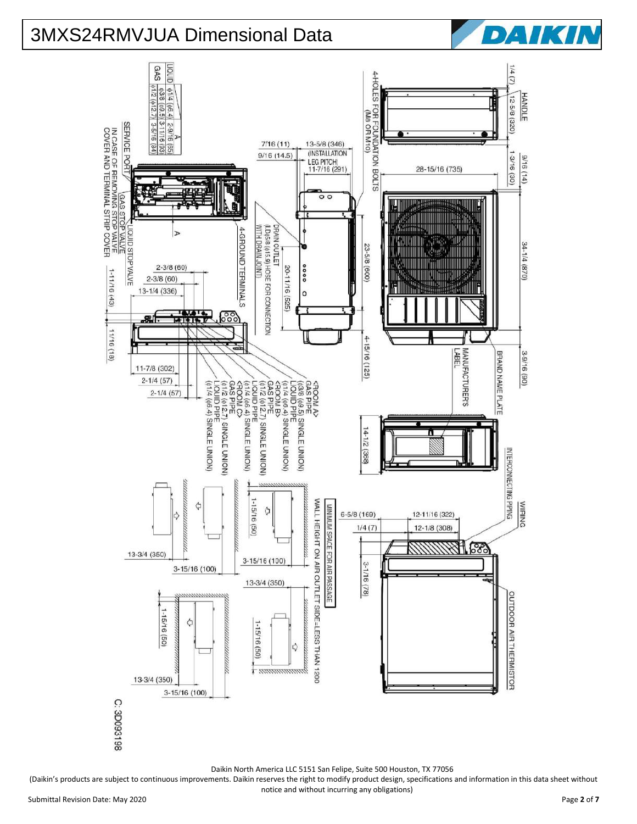





(Daikin's products are subject to continuous improvements. Daikin reserves the right to modify product design, specifications and information in this data sheet without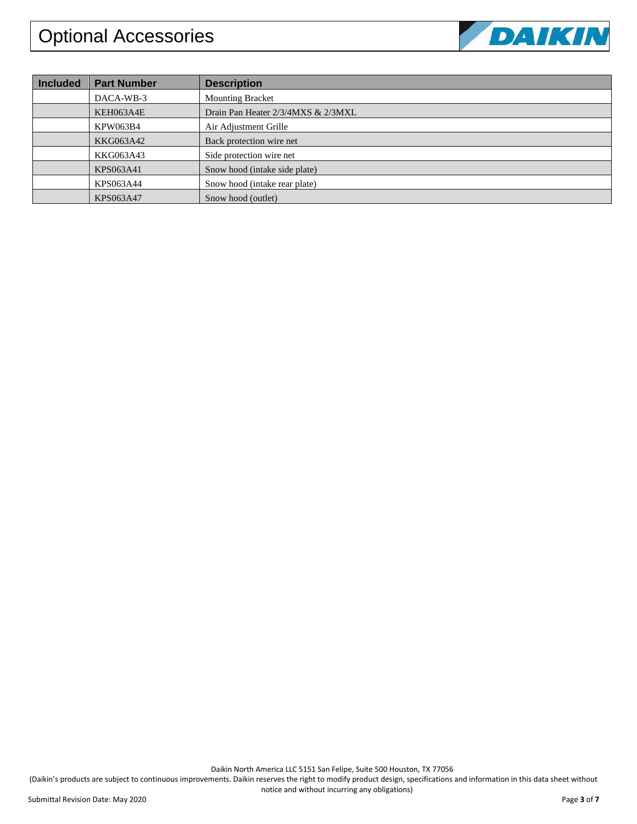

| <b>Included</b> | <b>Part Number</b> | <b>Description</b>                 |
|-----------------|--------------------|------------------------------------|
|                 | DACA-WB-3          | <b>Mounting Bracket</b>            |
|                 | KEH063A4E          | Drain Pan Heater 2/3/4MXS & 2/3MXL |
|                 | <b>KPW063B4</b>    | Air Adjustment Grille              |
|                 | KKG063A42          | Back protection wire net           |
|                 | KKG063A43          | Side protection wire net           |
|                 | KPS063A41          | Snow hood (intake side plate)      |
|                 | KPS063A44          | Snow hood (intake rear plate)      |
|                 | KPS063A47          | Snow hood (outlet)                 |

Daikin North America LLC 5151 San Felipe, Suite 500 Houston, TX 77056

(Daikin's products are subject to continuous improvements. Daikin reserves the right to modify product design, specifications and information in this data sheet without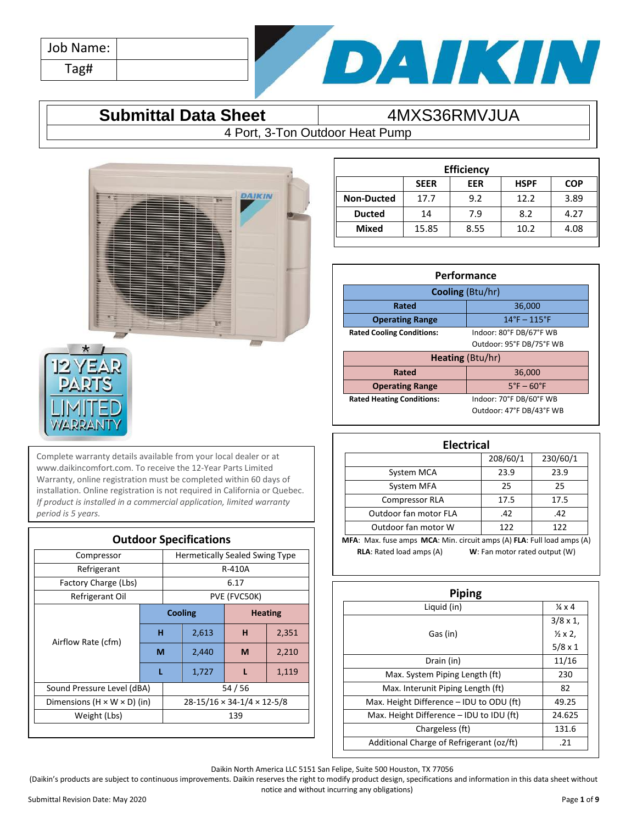| Job Name: |  |
|-----------|--|
| Tag#      |  |



### **Submittal Data Sheet**  $\overline{4MXS36RMVJUA}$

4 Port, 3-Ton Outdoor Heat Pump



Complete warranty details available from your local dealer or at www.daikincomfort.com. To receive the 12-Year Parts Limited Warranty, online registration must be completed within 60 days of installation. Online registration is not required in California or Quebec. *If product is installed in a commercial application, limited warranty period is 5 years.*

| <b>Outdoor Specifications</b>           |                                        |         |                                       |                |       |  |
|-----------------------------------------|----------------------------------------|---------|---------------------------------------|----------------|-------|--|
| Compressor                              |                                        |         | <b>Hermetically Sealed Swing Type</b> |                |       |  |
| Refrigerant                             |                                        |         |                                       | R-410A         |       |  |
| Factory Charge (Lbs)                    |                                        |         |                                       | 6.17           |       |  |
| Refrigerant Oil                         |                                        |         |                                       | PVE (FVC50K)   |       |  |
|                                         |                                        | Cooling |                                       | <b>Heating</b> |       |  |
| Airflow Rate (cfm)                      | н                                      |         | 2,613                                 | н              | 2,351 |  |
|                                         | М                                      |         | 2,440                                 | M              | 2,210 |  |
|                                         |                                        |         | 1,727                                 |                | 1,119 |  |
| Sound Pressure Level (dBA)              |                                        |         | 54/56                                 |                |       |  |
| Dimensions $(H \times W \times D)$ (in) | $28-15/16 \times 34-1/4 \times 12-5/8$ |         |                                       |                |       |  |
| Weight (Lbs)                            | 139                                    |         |                                       |                |       |  |
|                                         |                                        |         |                                       |                |       |  |

| <b>Efficiency</b>                                      |       |      |      |      |  |  |
|--------------------------------------------------------|-------|------|------|------|--|--|
| <b>HSPF</b><br><b>SEER</b><br><b>EER</b><br><b>COP</b> |       |      |      |      |  |  |
| <b>Non-Ducted</b>                                      | 17.7  | 9.2  | 12.2 | 3.89 |  |  |
| <b>Ducted</b>                                          | 14    | 7.9  | 8.2  | 4.27 |  |  |
| <b>Mixed</b>                                           | 15.85 | 8.55 | 10.2 | 4.08 |  |  |
|                                                        |       |      |      |      |  |  |

| Performance                                                 |                          |  |  |
|-------------------------------------------------------------|--------------------------|--|--|
| Cooling (Btu/hr)                                            |                          |  |  |
| 36,000<br><b>Rated</b>                                      |                          |  |  |
| $14^{\circ}$ F - $115^{\circ}$ F<br><b>Operating Range</b>  |                          |  |  |
| Indoor: 80°F DB/67°F WB<br><b>Rated Cooling Conditions:</b> |                          |  |  |
| Outdoor: 95°F DB/75°F WB                                    |                          |  |  |
| Heating (Btu/hr)                                            |                          |  |  |
| Rated<br>36,000                                             |                          |  |  |
| $5^\circ$ F – 60 $^\circ$ F<br><b>Operating Range</b>       |                          |  |  |
| <b>Rated Heating Conditions:</b>                            | Indoor: 70°F DB/60°F WB  |  |  |
|                                                             | Outdoor: 47°F DB/43°F WB |  |  |

| <b>Electrical</b>                                                      |      |      |  |  |  |
|------------------------------------------------------------------------|------|------|--|--|--|
| 208/60/1<br>230/60/1                                                   |      |      |  |  |  |
| System MCA                                                             | 23.9 | 23.9 |  |  |  |
| System MFA                                                             | 25   | 25   |  |  |  |
| <b>Compressor RLA</b>                                                  | 17.5 | 17.5 |  |  |  |
| Outdoor fan motor FLA                                                  | .42  | .42  |  |  |  |
| Outdoor fan motor W<br>122<br>122                                      |      |      |  |  |  |
| MFA: Max. fuse amps MCA: Min. circuit amps (A) FLA: Full load amps (A) |      |      |  |  |  |
| <b>RLA:</b> Rated load amps (A)<br>W: Fan motor rated output (W)       |      |      |  |  |  |

| Piping                                   |                          |  |  |  |
|------------------------------------------|--------------------------|--|--|--|
| Liquid (in)                              | $\frac{1}{4} \times 4$   |  |  |  |
|                                          | $3/8 \times 1$ ,         |  |  |  |
| Gas (in)                                 | $\frac{1}{2} \times 2$ , |  |  |  |
|                                          | $5/8 \times 1$           |  |  |  |
| Drain (in)                               | 11/16                    |  |  |  |
| Max. System Piping Length (ft)           | 230                      |  |  |  |
| Max. Interunit Piping Length (ft)        | 82                       |  |  |  |
| Max. Height Difference - IDU to ODU (ft) | 49.25                    |  |  |  |
| Max. Height Difference - IDU to IDU (ft) | 24.625                   |  |  |  |
| Chargeless (ft)                          | 131.6                    |  |  |  |
| Additional Charge of Refrigerant (oz/ft) | .21                      |  |  |  |

Daikin North America LLC 5151 San Felipe, Suite 500 Houston, TX 77056

(Daikin's products are subject to continuous improvements. Daikin reserves the right to modify product design, specifications and information in this data sheet without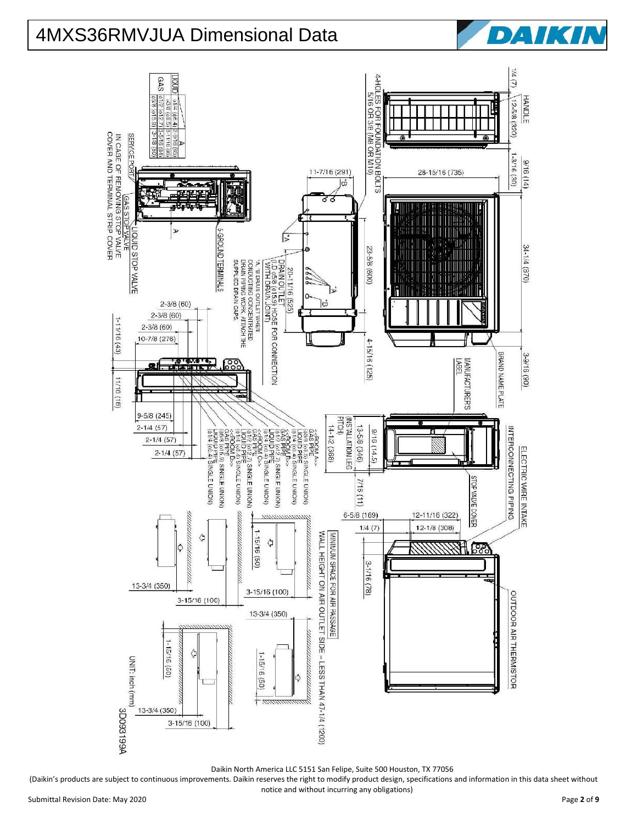



(Daikin's products are subject to continuous improvements. Daikin reserves the right to modify product design, specifications and information in this data sheet without

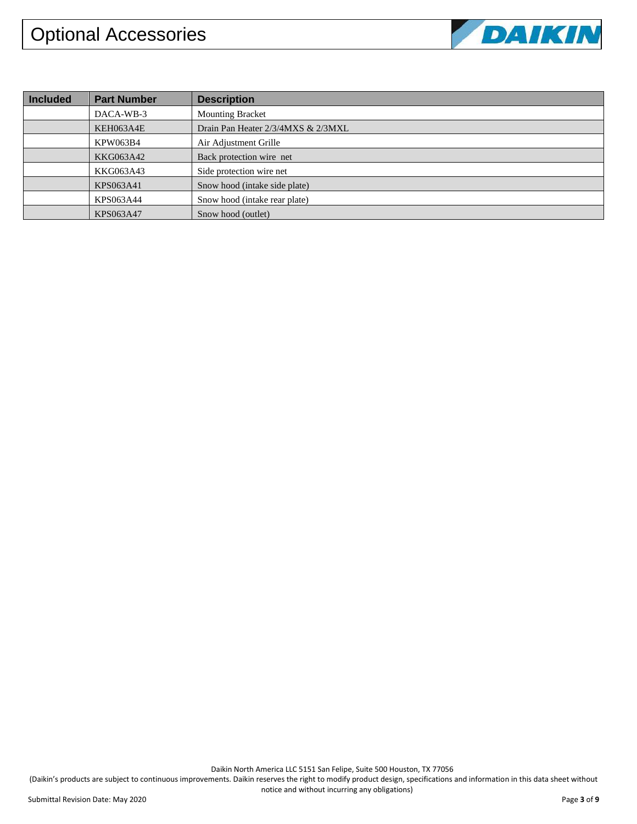

| <b>Included</b> | <b>Part Number</b> | <b>Description</b>                 |
|-----------------|--------------------|------------------------------------|
|                 | DACA-WB-3          | <b>Mounting Bracket</b>            |
|                 | KEH063A4E          | Drain Pan Heater 2/3/4MXS & 2/3MXL |
|                 | <b>KPW063B4</b>    | Air Adjustment Grille              |
|                 | KKG063A42          | Back protection wire net           |
|                 | KKG063A43          | Side protection wire net           |
|                 | KPS063A41          | Snow hood (intake side plate)      |
|                 | KPS063A44          | Snow hood (intake rear plate)      |
|                 | KPS063A47          | Snow hood (outlet)                 |

Daikin North America LLC 5151 San Felipe, Suite 500 Houston, TX 77056

(Daikin's products are subject to continuous improvements. Daikin reserves the right to modify product design, specifications and information in this data sheet without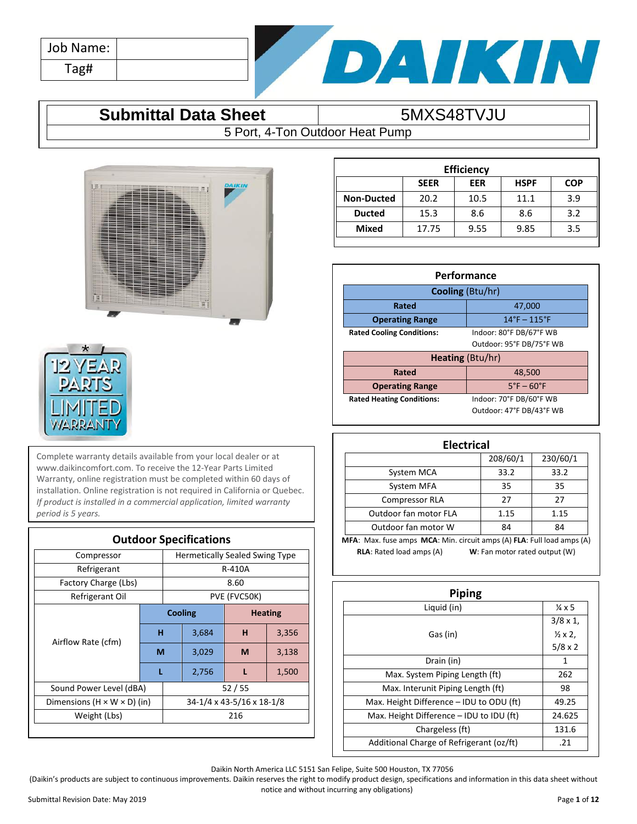| Job Name: |  |
|-----------|--|
| Tag#      |  |



### **Submittal Data Sheet** 5MXS48TVJU

5 Port, 4-Ton Outdoor Heat Pump





Complete warranty details available from your local dealer or at www.daikincomfort.com. To receive the 12-Year Parts Limited Warranty, online registration must be completed within 60 days of installation. Online registration is not required in California or Quebec. *If product is installed in a commercial application, limited warranty period is 5 years.*

| <b>Outdoor Specifications</b>           |                           |                |                                       |                |       |  |
|-----------------------------------------|---------------------------|----------------|---------------------------------------|----------------|-------|--|
| Compressor                              |                           |                | <b>Hermetically Sealed Swing Type</b> |                |       |  |
| Refrigerant                             |                           |                | R-410A                                |                |       |  |
| Factory Charge (Lbs)                    |                           |                |                                       | 8.60           |       |  |
| Refrigerant Oil                         |                           |                |                                       | PVE (FVC50K)   |       |  |
|                                         |                           | <b>Cooling</b> |                                       | <b>Heating</b> |       |  |
| Airflow Rate (cfm)                      | н                         |                | 3,684                                 | н              | 3,356 |  |
|                                         | M                         |                | 3,029                                 | M              | 3,138 |  |
|                                         | L                         |                | 2,756                                 |                | 1,500 |  |
| Sound Power Level (dBA)                 | 52/55                     |                |                                       |                |       |  |
| Dimensions $(H \times W \times D)$ (in) | 34-1/4 x 43-5/16 x 18-1/8 |                |                                       |                |       |  |
| Weight (Lbs)                            | 216                       |                |                                       |                |       |  |
|                                         |                           |                |                                       |                |       |  |

| <b>Efficiency</b> |             |      |             |            |
|-------------------|-------------|------|-------------|------------|
|                   | <b>SEER</b> | EER  | <b>HSPF</b> | <b>COP</b> |
| <b>Non-Ducted</b> | 20.2        | 10.5 | 11.1        | 3.9        |
| <b>Ducted</b>     | 15.3        | 8.6  | 8.6         | 3.2        |
| <b>Mixed</b>      | 17.75       | 9.55 | 9.85        | 3.5        |
|                   |             |      |             |            |

| Performance                      |                                  |  |
|----------------------------------|----------------------------------|--|
| <b>Cooling</b> (Btu/hr)          |                                  |  |
| Rated                            | 47,000                           |  |
| <b>Operating Range</b>           | $14^{\circ}$ F – $115^{\circ}$ F |  |
| <b>Rated Cooling Conditions:</b> | Indoor: 80°F DB/67°F WB          |  |
|                                  | Outdoor: 95°F DB/75°F WB         |  |
| <b>Heating (Btu/hr)</b>          |                                  |  |
| Rated                            | 48,500                           |  |
| <b>Operating Range</b>           | $5^\circ$ F – 60 $^\circ$ F      |  |
| <b>Rated Heating Conditions:</b> | Indoor: 70°F DB/60°F WB          |  |
|                                  | Outdoor: 47°F DB/43°F WB         |  |

| <b>Electrical</b>                                                      |                               |          |  |
|------------------------------------------------------------------------|-------------------------------|----------|--|
|                                                                        | 208/60/1                      | 230/60/1 |  |
| System MCA                                                             | 33.2                          | 33.2     |  |
| System MFA                                                             | 35                            | 35       |  |
| <b>Compressor RLA</b>                                                  | 27                            | 27       |  |
| Outdoor fan motor FLA                                                  | 1.15                          | 1.15     |  |
| Outdoor fan motor W                                                    | 84                            | 84       |  |
| MFA: Max. fuse amps MCA: Min. circuit amps (A) FLA: Full load amps (A) |                               |          |  |
| <b>RLA:</b> Rated load amps (A)                                        | W: Fan motor rated output (W) |          |  |

| Piping                                   |                          |
|------------------------------------------|--------------------------|
| Liquid (in)                              | $\frac{1}{4}$ x 5        |
|                                          | $3/8 \times 1$ ,         |
| Gas (in)                                 | $\frac{1}{2} \times 2$ , |
|                                          | $5/8 \times 2$           |
| Drain (in)                               | 1                        |
| Max. System Piping Length (ft)           | 262                      |
| Max. Interunit Piping Length (ft)        | 98                       |
| Max. Height Difference - IDU to ODU (ft) | 49.25                    |
| Max. Height Difference - IDU to IDU (ft) | 24.625                   |
| Chargeless (ft)                          | 131.6                    |
| Additional Charge of Refrigerant (oz/ft) | .21                      |

Daikin North America LLC 5151 San Felipe, Suite 500 Houston, TX 77056

(Daikin's products are subject to continuous improvements. Daikin reserves the right to modify product design, specifications and information in this data sheet without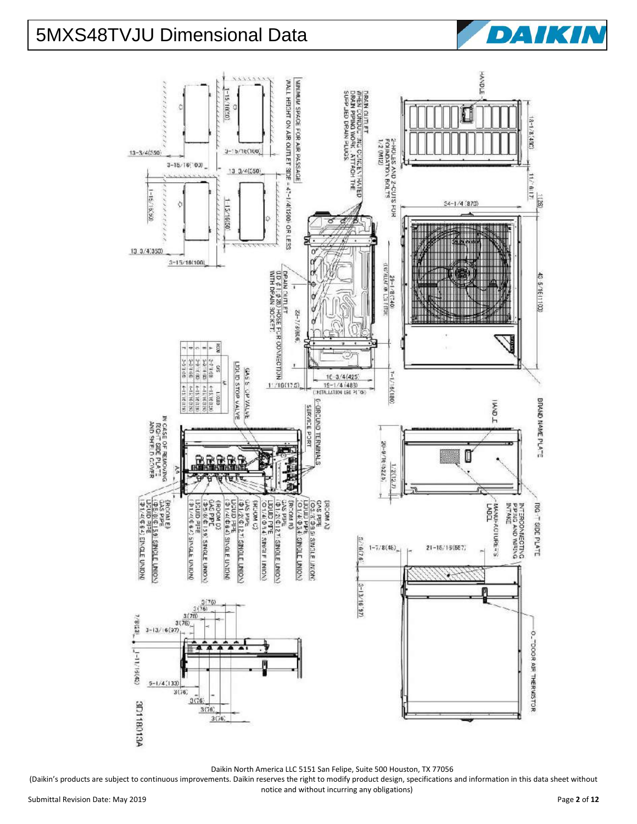|                                                                                                                                                                                                                                                                                                                    |                                                                                                                                                                                                                                                                                                                                                                                                                                                   |                                                                                                                    | HAVPLE                                                                                              |                      |
|--------------------------------------------------------------------------------------------------------------------------------------------------------------------------------------------------------------------------------------------------------------------------------------------------------------------|---------------------------------------------------------------------------------------------------------------------------------------------------------------------------------------------------------------------------------------------------------------------------------------------------------------------------------------------------------------------------------------------------------------------------------------------------|--------------------------------------------------------------------------------------------------------------------|-----------------------------------------------------------------------------------------------------|----------------------|
| 0344222242<br>$-15/10(50)$<br>¢<br>O<br>$3 - 15/16(100)$<br>$13 - 3/4(550)$<br>$3 - 15 / 16 (700)$                                                                                                                                                                                                                 | WALL HEIGHT ON AIR OUTLET SIDE = 47-1/4(1200) OR LESS<br>MINIMURE SPACE FOR AIR PASSAGE                                                                                                                                                                                                                                                                                                                                                           | SONIE NIVED OFFICE<br>DRAIN QUITLET<br>WHEN CONDUCTING CONCENT-PATED<br>DRAIN PIPING WORK , ATTACH THE<br>12 (M12) |                                                                                                     | (JE1/8/1-8)          |
| $13 \frac{3}{4}(550)$<br>1.19.3<br>(65, 19, 19)<br>Ò                                                                                                                                                                                                                                                               |                                                                                                                                                                                                                                                                                                                                                                                                                                                   | 2-HOLES AND 2-CUTS FOR<br>FOUNDATION BOLTS                                                                         | $34 - 1/4 (870)$                                                                                    | 11/18/17<br>$-0.051$ |
| 15/16(50)<br>13, 3/4, 350<br>$3 - 15/18(100)$<br><b>KOS</b><br>ø.<br>$\frac{1}{2}$                                                                                                                                                                                                                                 | o<br>ರ<br>≥<br>o<br>$\begin{array}{c}\n\diagup \text{L} & \text{Z4-7/3} \& \text{G1} & \text{G2} \\ \text{D} & \text{A} & \text{A} & \text{B2} & \text{B3} \\ \text{D} & \text{A} & \text{A} & \text{A2} & \text{B3} & \text{B4} \\ \text{D} & \text{A} & \text{A} & \text{A2} & \text{B4} & \text{B5} & \text{B5} \\ \text{D} & \text{A} & \text{A} & \text{A3} & \text{B4} & \text{B5} & \text{B5} \\ \text{MTH} & \text{D} & \$<br>ю<br>0<br>o | Š.<br>HOLL 1 0.7 W. IVTN. (%1)<br>$(0 + 1.8 - 1 - 62)$                                                             | 医精<br>nt kan<br>WAN L<br><b>ITAN</b><br>THERS<br>WHEATH<br>제대<br><b>Minima</b><br><b>The Second</b> | 43 5/1611100)        |
| 212/31/12<br>108131,645<br>1回 引きた<br>$33.8 - 2 - 2$<br>93.4/84<br>LIDLID STOP VALVE<br>S<br>EASE OP VALUE<br>₹<br>$4 - 147181787$<br>4-15/16(138)<br>4-15:16:02:02<br>4-15, 16:319<br>ambi1                                                                                                                        |                                                                                                                                                                                                                                                                                                                                                                                                                                                   | $1 - 1 / 16(180)$<br>$16 - 3/4(425)$<br>$15 - 1/4$ (483)<br><b>METALLATION LEG PLTGE)</b>                          | <b>I MNA I</b>                                                                                      |                      |
| IN CASE OF REMOVING<br>ROHT SIDE PLATE<br>AND SHELD COVER<br>悪<br><b>RE</b><br>B<br>š<br>4.9.94<br>e l                                                                                                                                                                                                             | 6-GRCUND TERMINALS<br>SERVICE PORT                                                                                                                                                                                                                                                                                                                                                                                                                | 20-9/16 (5225)<br>1/2(12.7)                                                                                        | Π                                                                                                   | BRAND NAME PLATE     |
| {RCON E}<br>OS PIPE<br>LOS PIPE<br>LICUID RIFE<br>LICUID RIFE<br>(ROOM D)<br>GAS PPE<br>(Db:8(d 139) SINGLE UNION)<br>Bele GIAST<br>Louid PIPE<br>Brit diubu<br>GAS PIPE<br>(Ф1/2(Ф121) SINGLE UNION)<br><b>ERDINGS</b><br>1/4(4.64)<br>01/4(4:62)<br>EIVORIA E DVID<br><b>SINGLE UNION</b><br><b>SINGLE UNION</b> | SRCOM R)<br>GAS PIPE<br>(01/2(0127<br>Litout Pine<br>101/4/434<br>344 (MM)<br>  53.829<br>  53.84 SVD<br>1/4/034<br>ERCOM A<br>SINGLE LINION)<br>SINGLE UNIONS<br>SINGLE LINION)<br>SINGLE UNIONS                                                                                                                                                                                                                                                 | 5/10(7.6)<br>$1 - 7/8(48)$                                                                                         | INTERCONNECTING<br>MANUFACTURE = S<br>$21 - 15/13(557)$                                             | $10C + 30C$<br>PLATE |
| $\frac{\frac{3(76)}{3(76)}}{3(76)}$<br>$\frac{3(76)}{3(76)}$<br>$\frac{3(76)}{-1}$<br>1/8(23)<br>$(1 - 1)(1 - 1)$                                                                                                                                                                                                  |                                                                                                                                                                                                                                                                                                                                                                                                                                                   | $3 - 13/16'$ 97)                                                                                                   |                                                                                                     | O_TOOR AIR THERWSTOR |
| $\frac{5-1/4(133)}{3(76)}$<br>3(76)<br>A81081108<br>3(76)<br>3(76)                                                                                                                                                                                                                                                 |                                                                                                                                                                                                                                                                                                                                                                                                                                                   |                                                                                                                    |                                                                                                     |                      |

(Daikin's products are subject to continuous improvements. Daikin reserves the right to modify product design, specifications and information in this data sheet without